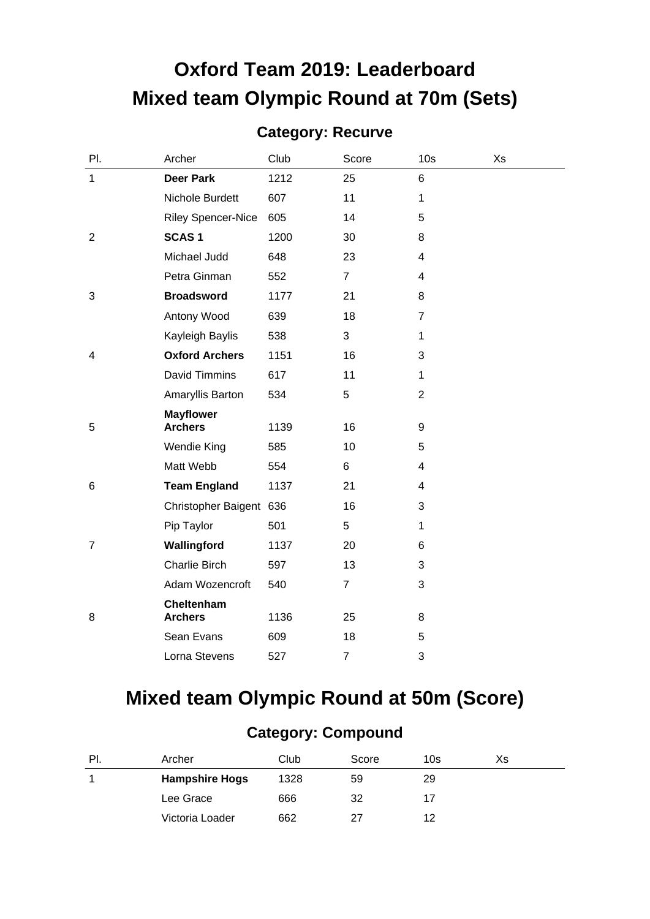# **Oxford Team 2019: Leaderboard Mixed team Olympic Round at 70m (Sets)**

#### **Category: Recurve**

| PI.            | Archer                       | Club | Score          | 10 <sub>s</sub>         | Xs |
|----------------|------------------------------|------|----------------|-------------------------|----|
| $\mathbf{1}$   | <b>Deer Park</b>             | 1212 | 25             | 6                       |    |
|                | Nichole Burdett              | 607  | 11             | 1                       |    |
|                | <b>Riley Spencer-Nice</b>    | 605  | 14             | 5                       |    |
| $\overline{2}$ | <b>SCAS1</b>                 | 1200 | 30             | 8                       |    |
|                | Michael Judd                 | 648  | 23             | 4                       |    |
|                | Petra Ginman                 | 552  | $\overline{7}$ | $\overline{\mathbf{4}}$ |    |
| 3              | <b>Broadsword</b>            | 1177 | 21             | 8                       |    |
|                | Antony Wood                  | 639  | 18             | $\overline{7}$          |    |
|                | Kayleigh Baylis              | 538  | 3              | 1                       |    |
| 4              | <b>Oxford Archers</b>        | 1151 | 16             | 3                       |    |
|                | <b>David Timmins</b>         | 617  | 11             | $\mathbf{1}$            |    |
|                | Amaryllis Barton             | 534  | 5              | $\overline{2}$          |    |
|                | <b>Mayflower</b>             |      |                |                         |    |
| 5              | <b>Archers</b>               | 1139 | 16             | 9                       |    |
|                | <b>Wendie King</b>           | 585  | 10             | 5                       |    |
|                | Matt Webb                    | 554  | 6              | $\overline{\mathbf{4}}$ |    |
| 6              | <b>Team England</b>          | 1137 | 21             | 4                       |    |
|                | Christopher Baigent 636      |      | 16             | 3                       |    |
|                | Pip Taylor                   | 501  | 5              | 1                       |    |
| $\overline{7}$ | Wallingford                  | 1137 | 20             | 6                       |    |
|                | Charlie Birch                | 597  | 13             | 3                       |    |
|                | Adam Wozencroft              | 540  | $\overline{7}$ | 3                       |    |
| 8              | Cheltenham<br><b>Archers</b> | 1136 | 25             | 8                       |    |
|                | Sean Evans                   | 609  | 18             | 5                       |    |
|                | Lorna Stevens                | 527  | 7              | 3                       |    |

## **Mixed team Olympic Round at 50m (Score)**

#### **Category: Compound**

| PI. | Archer                | Club | Score | 10s | Xs |
|-----|-----------------------|------|-------|-----|----|
|     | <b>Hampshire Hogs</b> | 1328 | 59    | 29  |    |
|     | Lee Grace             | 666  | 32    |     |    |
|     | Victoria Loader       | 662  | 27    | 12  |    |